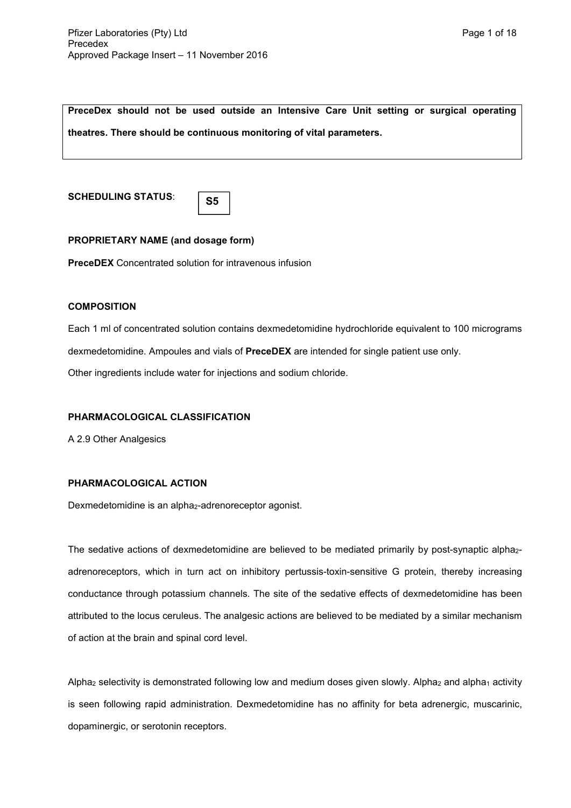**PreceDex should not be used outside an Intensive Care Unit setting or surgical operating** 

**theatres. There should be continuous monitoring of vital parameters.**

**SCHEDULING STATUS**:

| M.<br>۰. | I<br>w<br>۰. |  |
|----------|--------------|--|

# **PROPRIETARY NAME (and dosage form)**

**PreceDEX** Concentrated solution for intravenous infusion

# **COMPOSITION**

Each 1 ml of concentrated solution contains dexmedetomidine hydrochloride equivalent to 100 micrograms dexmedetomidine. Ampoules and vials of **PreceDEX** are intended for single patient use only. Other ingredients include water for injections and sodium chloride.

# **PHARMACOLOGICAL CLASSIFICATION**

A 2.9 Other Analgesics

# **PHARMACOLOGICAL ACTION**

Dexmedetomidine is an alpha<sub>2</sub>-adrenoreceptor agonist.

The sedative actions of dexmedetomidine are believed to be mediated primarily by post-synaptic alpha<sub>2</sub>adrenoreceptors, which in turn act on inhibitory pertussis-toxin-sensitive G protein, thereby increasing conductance through potassium channels. The site of the sedative effects of dexmedetomidine has been attributed to the locus ceruleus. The analgesic actions are believed to be mediated by a similar mechanism of action at the brain and spinal cord level.

Alpha<sub>2</sub> selectivity is demonstrated following low and medium doses given slowly. Alpha<sub>2</sub> and alpha<sub>1</sub> activity is seen following rapid administration. Dexmedetomidine has no affinity for beta adrenergic, muscarinic, dopaminergic, or serotonin receptors.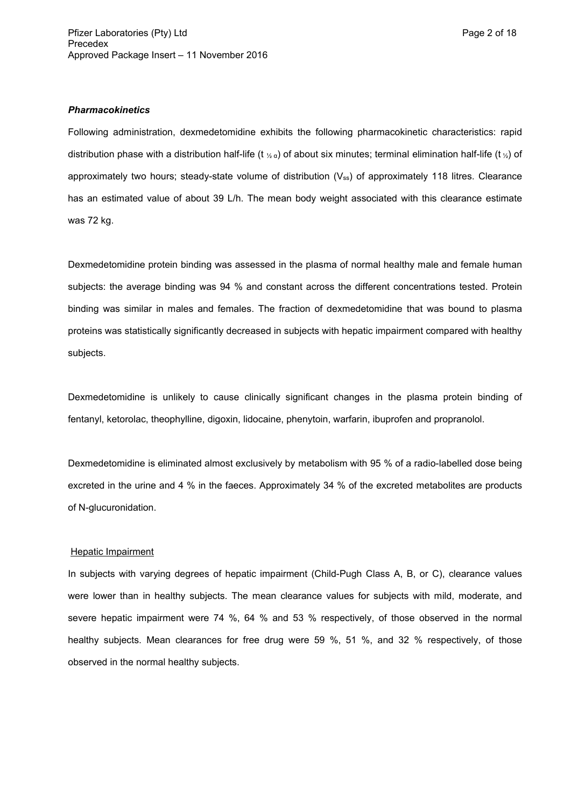#### *Pharmacokinetics*

Following administration, dexmedetomidine exhibits the following pharmacokinetic characteristics: rapid distribution phase with a distribution half-life (t  $\chi_a$ ) of about six minutes; terminal elimination half-life (t  $\chi$ ) of approximately two hours; steady-state volume of distribution  $(V_{ss})$  of approximately 118 litres. Clearance has an estimated value of about 39 L/h. The mean body weight associated with this clearance estimate was 72 kg.

Dexmedetomidine protein binding was assessed in the plasma of normal healthy male and female human subjects: the average binding was 94 % and constant across the different concentrations tested. Protein binding was similar in males and females. The fraction of dexmedetomidine that was bound to plasma proteins was statistically significantly decreased in subjects with hepatic impairment compared with healthy subjects.

Dexmedetomidine is unlikely to cause clinically significant changes in the plasma protein binding of fentanyl, ketorolac, theophylline, digoxin, lidocaine, phenytoin, warfarin, ibuprofen and propranolol.

Dexmedetomidine is eliminated almost exclusively by metabolism with 95 % of a radio-labelled dose being excreted in the urine and 4 % in the faeces. Approximately 34 % of the excreted metabolites are products of N-glucuronidation.

#### Hepatic Impairment

In subjects with varying degrees of hepatic impairment (Child-Pugh Class A, B, or C), clearance values were lower than in healthy subjects. The mean clearance values for subjects with mild, moderate, and severe hepatic impairment were 74 %, 64 % and 53 % respectively, of those observed in the normal healthy subjects. Mean clearances for free drug were 59 %, 51 %, and 32 % respectively, of those observed in the normal healthy subjects.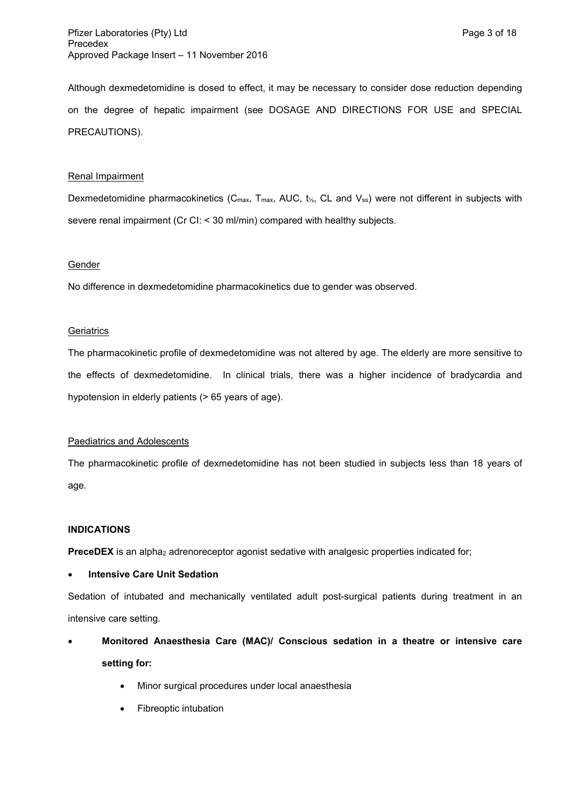Although dexmedetomidine is dosed to effect, it may be necessary to consider dose reduction depending on the degree of hepatic impairment (see DOSAGE AND DIRECTIONS FOR USE and SPECIAL PRECAUTIONS).

# Renal Impairment

Dexmedetomidine pharmacokinetics (C<sub>max,</sub> T<sub>max,</sub> AUC, t<sub>/2</sub>, CL and V<sub>ss</sub>) were not different in subjects with severe renal impairment (Cr CI: < 30 ml/min) compared with healthy subjects.

### **Gender**

No difference in dexmedetomidine pharmacokinetics due to gender was observed.

# **Geriatrics**

The pharmacokinetic profile of dexmedetomidine was not altered by age. The elderly are more sensitive to the effects of dexmedetomidine. In clinical trials, there was a higher incidence of bradycardia and hypotension in elderly patients (> 65 years of age).

# Paediatrics and Adolescents

The pharmacokinetic profile of dexmedetomidine has not been studied in subjects less than 18 years of age.

### **INDICATIONS**

**PreceDEX** is an alpha<sub>2</sub> adrenoreceptor agonist sedative with analgesic properties indicated for;

# **Intensive Care Unit Sedation**

Sedation of intubated and mechanically ventilated adult post-surgical patients during treatment in an intensive care setting.

- **Monitored Anaesthesia Care (MAC)/ Conscious sedation in a theatre or intensive care setting for:**
	- Minor surgical procedures under local anaesthesia
	- Fibreoptic intubation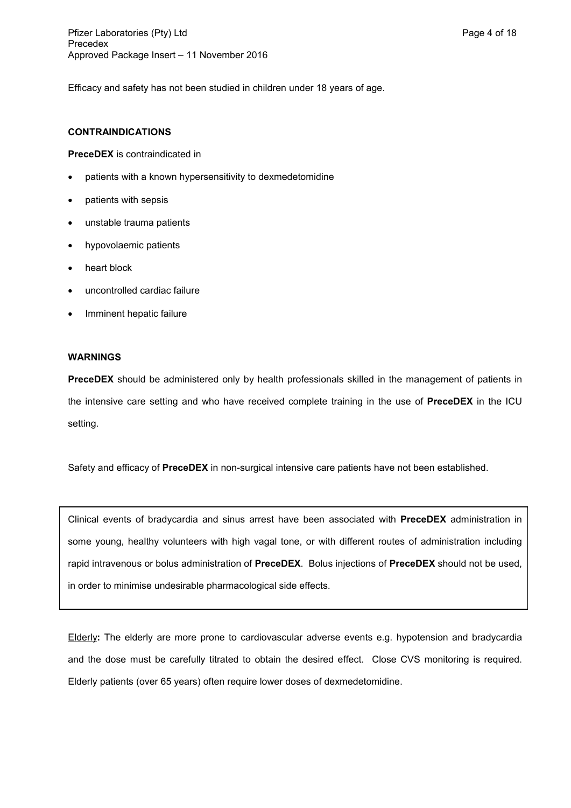Efficacy and safety has not been studied in children under 18 years of age.

### **CONTRAINDICATIONS**

**PreceDEX** is contraindicated in

- patients with a known hypersensitivity to dexmedetomidine
- patients with sepsis
- unstable trauma patients
- hypovolaemic patients
- heart block
- uncontrolled cardiac failure
- Imminent hepatic failure

### **WARNINGS**

**PreceDEX** should be administered only by health professionals skilled in the management of patients in the intensive care setting and who have received complete training in the use of **PreceDEX** in the ICU setting.

Safety and efficacy of **PreceDEX** in non-surgical intensive care patients have not been established.

Clinical events of bradycardia and sinus arrest have been associated with **PreceDEX** administration in some young, healthy volunteers with high vagal tone, or with different routes of administration including rapid intravenous or bolus administration of **PreceDEX**. Bolus injections of **PreceDEX** should not be used, in order to minimise undesirable pharmacological side effects.

Elderly**:** The elderly are more prone to cardiovascular adverse events e.g. hypotension and bradycardia and the dose must be carefully titrated to obtain the desired effect. Close CVS monitoring is required. Elderly patients (over 65 years) often require lower doses of dexmedetomidine.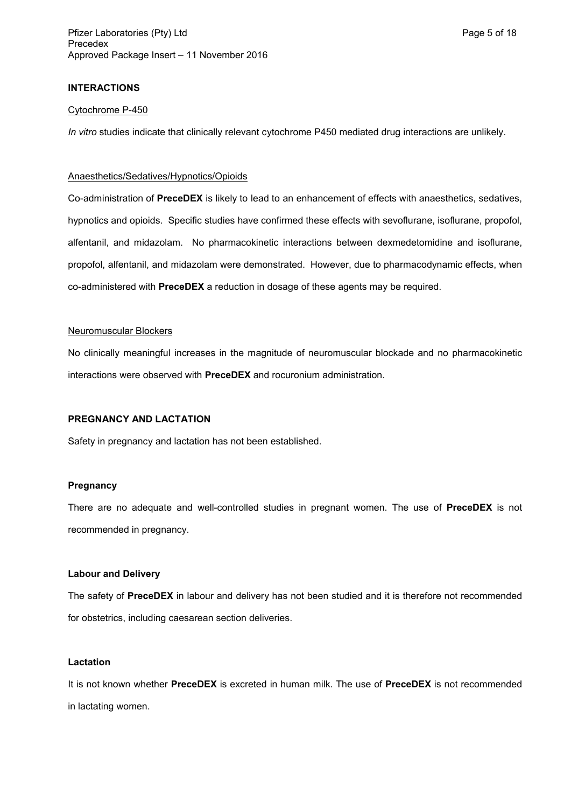# **INTERACTIONS**

### Cytochrome P-450

*In vitro* studies indicate that clinically relevant cytochrome P450 mediated drug interactions are unlikely.

#### Anaesthetics/Sedatives/Hypnotics/Opioids

Co-administration of **PreceDEX** is likely to lead to an enhancement of effects with anaesthetics, sedatives, hypnotics and opioids. Specific studies have confirmed these effects with sevoflurane, isoflurane, propofol, alfentanil, and midazolam. No pharmacokinetic interactions between dexmedetomidine and isoflurane, propofol, alfentanil, and midazolam were demonstrated. However, due to pharmacodynamic effects, when co-administered with **PreceDEX** a reduction in dosage of these agents may be required.

### Neuromuscular Blockers

No clinically meaningful increases in the magnitude of neuromuscular blockade and no pharmacokinetic interactions were observed with **PreceDEX** and rocuronium administration.

# **PREGNANCY AND LACTATION**

Safety in pregnancy and lactation has not been established.

#### **Pregnancy**

There are no adequate and well-controlled studies in pregnant women. The use of **PreceDEX** is not recommended in pregnancy.

### **Labour and Delivery**

The safety of **PreceDEX** in labour and delivery has not been studied and it is therefore not recommended for obstetrics, including caesarean section deliveries.

#### **Lactation**

It is not known whether **PreceDEX** is excreted in human milk. The use of **PreceDEX** is not recommended in lactating women.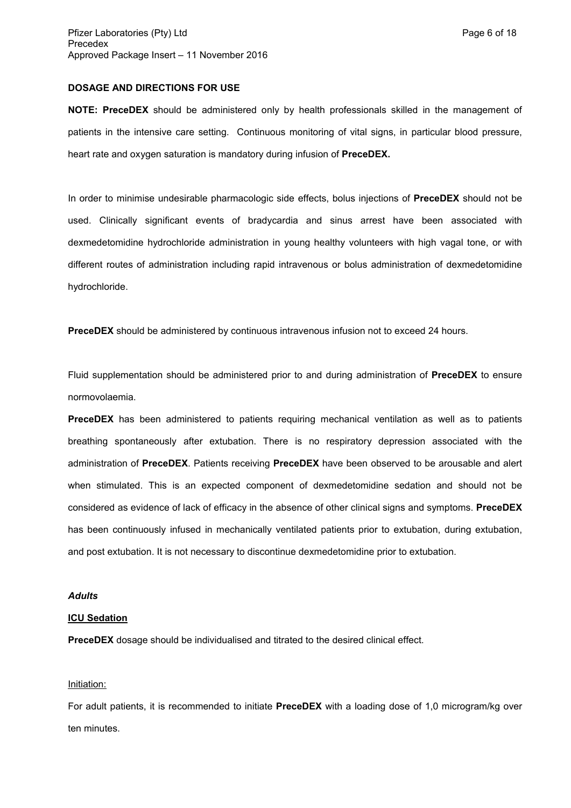### **DOSAGE AND DIRECTIONS FOR USE**

**NOTE: PreceDEX** should be administered only by health professionals skilled in the management of patients in the intensive care setting. Continuous monitoring of vital signs, in particular blood pressure, heart rate and oxygen saturation is mandatory during infusion of **PreceDEX.** 

In order to minimise undesirable pharmacologic side effects, bolus injections of **PreceDEX** should not be used. Clinically significant events of bradycardia and sinus arrest have been associated with dexmedetomidine hydrochloride administration in young healthy volunteers with high vagal tone, or with different routes of administration including rapid intravenous or bolus administration of dexmedetomidine hydrochloride.

**PreceDEX** should be administered by continuous intravenous infusion not to exceed 24 hours.

Fluid supplementation should be administered prior to and during administration of **PreceDEX** to ensure normovolaemia.

**PreceDEX** has been administered to patients requiring mechanical ventilation as well as to patients breathing spontaneously after extubation. There is no respiratory depression associated with the administration of **PreceDEX**. Patients receiving **PreceDEX** have been observed to be arousable and alert when stimulated. This is an expected component of dexmedetomidine sedation and should not be considered as evidence of lack of efficacy in the absence of other clinical signs and symptoms. **PreceDEX** has been continuously infused in mechanically ventilated patients prior to extubation, during extubation, and post extubation. It is not necessary to discontinue dexmedetomidine prior to extubation.

### *Adults*

### **ICU Sedation**

**PreceDEX** dosage should be individualised and titrated to the desired clinical effect.

### Initiation:

For adult patients, it is recommended to initiate **PreceDEX** with a loading dose of 1,0 microgram/kg over ten minutes.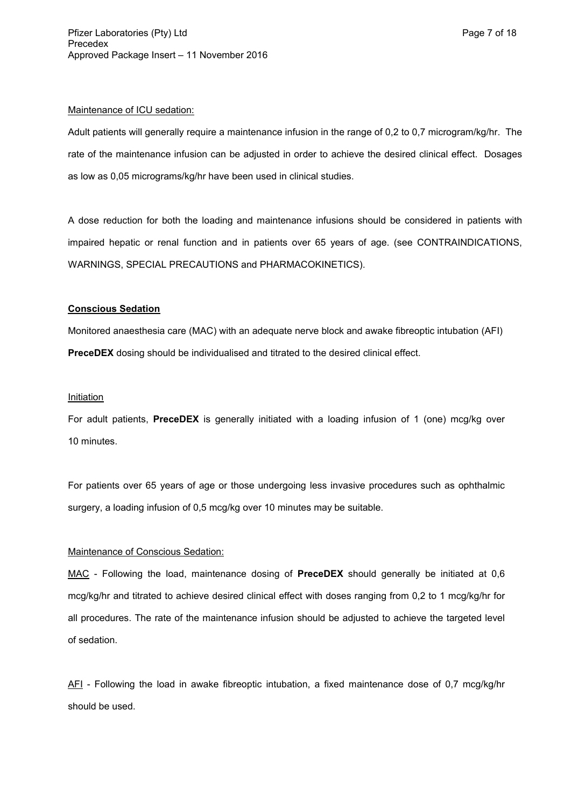### Maintenance of ICU sedation:

Adult patients will generally require a maintenance infusion in the range of 0,2 to 0,7 microgram/kg/hr. The rate of the maintenance infusion can be adjusted in order to achieve the desired clinical effect. Dosages as low as 0,05 micrograms/kg/hr have been used in clinical studies.

A dose reduction for both the loading and maintenance infusions should be considered in patients with impaired hepatic or renal function and in patients over 65 years of age. (see CONTRAINDICATIONS, WARNINGS, SPECIAL PRECAUTIONS and PHARMACOKINETICS).

# **Conscious Sedation**

Monitored anaesthesia care (MAC) with an adequate nerve block and awake fibreoptic intubation (AFI) **PreceDEX** dosing should be individualised and titrated to the desired clinical effect.

# **Initiation**

For adult patients, **PreceDEX** is generally initiated with a loading infusion of 1 (one) mcg/kg over 10 minutes.

For patients over 65 years of age or those undergoing less invasive procedures such as ophthalmic surgery, a loading infusion of 0,5 mcg/kg over 10 minutes may be suitable.

# Maintenance of Conscious Sedation:

MAC - Following the load, maintenance dosing of **PreceDEX** should generally be initiated at 0,6 mcg/kg/hr and titrated to achieve desired clinical effect with doses ranging from 0,2 to 1 mcg/kg/hr for all procedures. The rate of the maintenance infusion should be adjusted to achieve the targeted level of sedation.

AFI - Following the load in awake fibreoptic intubation, a fixed maintenance dose of 0,7 mcg/kg/hr should be used.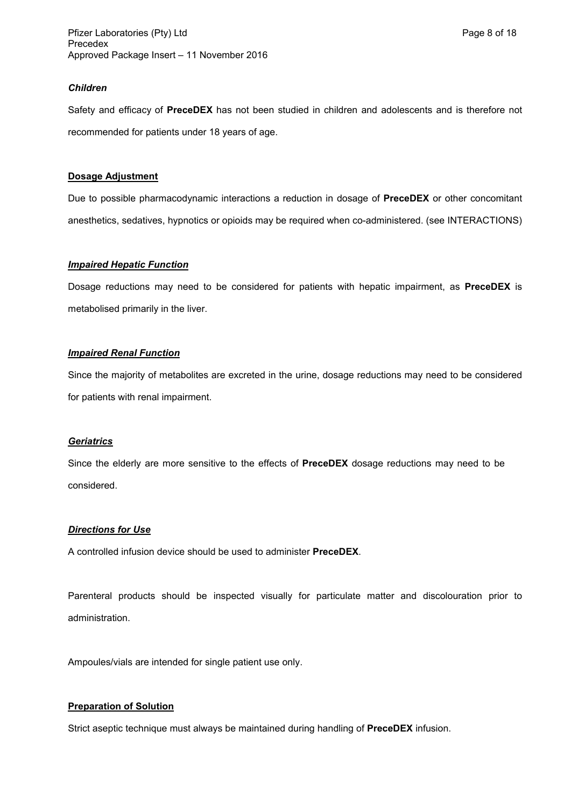Safety and efficacy of **PreceDEX** has not been studied in children and adolescents and is therefore not recommended for patients under 18 years of age.

# **Dosage Adjustment**

Due to possible pharmacodynamic interactions a reduction in dosage of **PreceDEX** or other concomitant anesthetics, sedatives, hypnotics or opioids may be required when co-administered. (see INTERACTIONS)

# *Impaired Hepatic Function*

Dosage reductions may need to be considered for patients with hepatic impairment, as **PreceDEX** is metabolised primarily in the liver.

# *Impaired Renal Function*

Since the majority of metabolites are excreted in the urine, dosage reductions may need to be considered for patients with renal impairment.

### *Geriatrics*

Since the elderly are more sensitive to the effects of **PreceDEX** dosage reductions may need to be considered.

# *Directions for Use*

A controlled infusion device should be used to administer **PreceDEX**.

Parenteral products should be inspected visually for particulate matter and discolouration prior to administration.

Ampoules/vials are intended for single patient use only.

# **Preparation of Solution**

Strict aseptic technique must always be maintained during handling of **PreceDEX** infusion.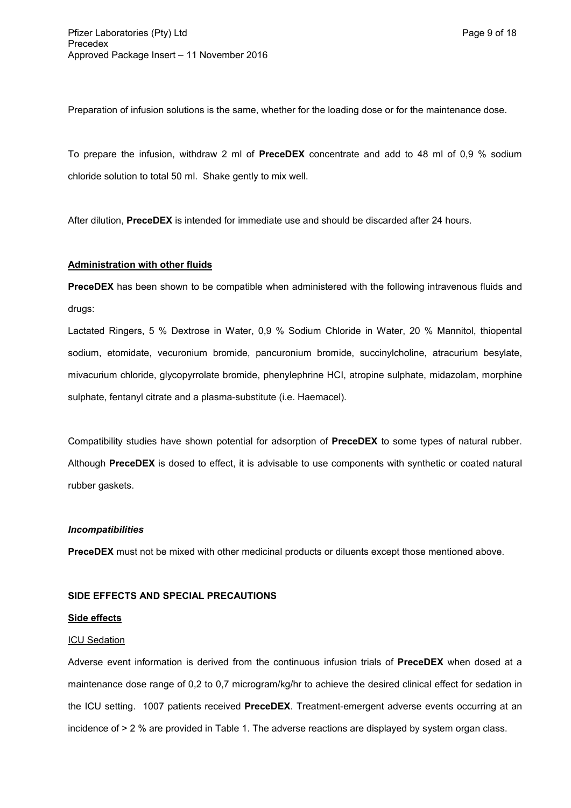Preparation of infusion solutions is the same, whether for the loading dose or for the maintenance dose.

To prepare the infusion, withdraw 2 ml of **PreceDEX** concentrate and add to 48 ml of 0,9 % sodium chloride solution to total 50 ml. Shake gently to mix well.

After dilution, **PreceDEX** is intended for immediate use and should be discarded after 24 hours.

# **Administration with other fluids**

**PreceDEX** has been shown to be compatible when administered with the following intravenous fluids and drugs:

Lactated Ringers, 5 % Dextrose in Water, 0,9 % Sodium Chloride in Water, 20 % Mannitol, thiopental sodium, etomidate, vecuronium bromide, pancuronium bromide, succinylcholine, atracurium besylate, mivacurium chloride, glycopyrrolate bromide, phenylephrine HCI, atropine sulphate, midazolam, morphine sulphate, fentanyl citrate and a plasma-substitute (i.e. Haemacel).

Compatibility studies have shown potential for adsorption of **PreceDEX** to some types of natural rubber. Although **PreceDEX** is dosed to effect, it is advisable to use components with synthetic or coated natural rubber gaskets.

### *Incompatibilities*

**PreceDEX** must not be mixed with other medicinal products or diluents except those mentioned above.

### **SIDE EFFECTS AND SPECIAL PRECAUTIONS**

### **Side effects**

### ICU Sedation

Adverse event information is derived from the continuous infusion trials of **PreceDEX** when dosed at a maintenance dose range of 0,2 to 0,7 microgram/kg/hr to achieve the desired clinical effect for sedation in the ICU setting. 1007 patients received **PreceDEX**. Treatment-emergent adverse events occurring at an incidence of > 2 % are provided in Table 1. The adverse reactions are displayed by system organ class.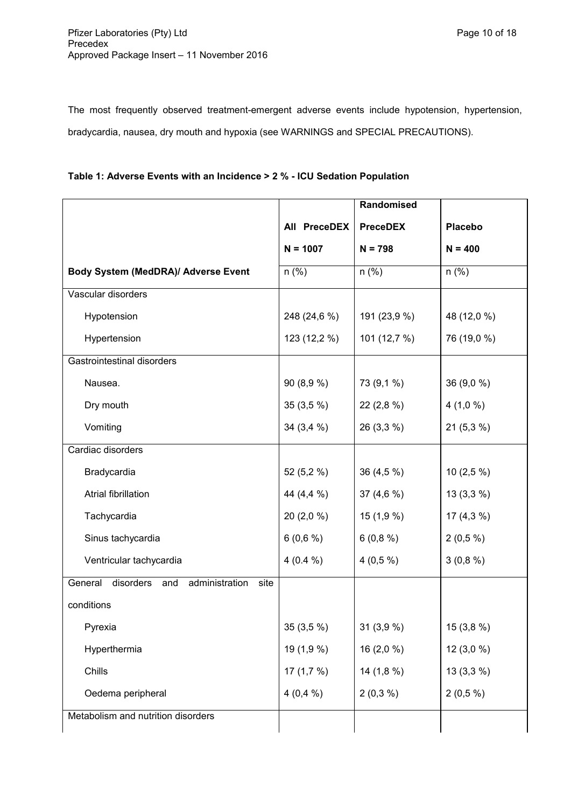The most frequently observed treatment-emergent adverse events include hypotension, hypertension, bradycardia, nausea, dry mouth and hypoxia (see WARNINGS and SPECIAL PRECAUTIONS).

| Table 1: Adverse Events with an Incidence > 2 % - ICU Sedation Population |  |  |  |  |
|---------------------------------------------------------------------------|--|--|--|--|
|                                                                           |  |  |  |  |

|                                                 |              | Randomised      |                |
|-------------------------------------------------|--------------|-----------------|----------------|
|                                                 | All PreceDEX | <b>PreceDEX</b> | <b>Placebo</b> |
|                                                 | $N = 1007$   | $N = 798$       | $N = 400$      |
| Body System (MedDRA)/ Adverse Event             | $n$ (%)      | $n$ (%)         | $n$ (%)        |
| Vascular disorders                              |              |                 |                |
| Hypotension                                     | 248 (24,6 %) | 191 (23,9 %)    | 48 (12,0 %)    |
| Hypertension                                    | 123 (12,2 %) | 101 (12,7 %)    | 76 (19,0 %)    |
| <b>Gastrointestinal disorders</b>               |              |                 |                |
| Nausea.                                         | 90 (8,9 %)   | 73 (9,1 %)      | 36 (9,0 %)     |
| Dry mouth                                       | $35(3,5\%)$  | 22 (2,8 %)      | $4(1,0\%)$     |
| Vomiting                                        | 34 (3,4 %)   | 26 (3,3 %)      | 21 (5,3 %)     |
| Cardiac disorders                               |              |                 |                |
| Bradycardia                                     | 52 (5,2 %)   | 36 (4,5 %)      | 10 $(2,5\%)$   |
| Atrial fibrillation                             | 44 (4,4 %)   | 37 $(4,6\%)$    | $13(3,3\%)$    |
| Tachycardia                                     | 20 (2,0 %)   | 15 (1,9 %)      | 17 $(4,3\%)$   |
| Sinus tachycardia                               | 6(0,6%)      | 6(0,8%)         | $2(0,5\%)$     |
| Ventricular tachycardia                         | $4(0.4\%)$   | $4(0,5\%)$      | 3(0,8%)        |
| General disorders and<br>administration<br>site |              |                 |                |
| conditions                                      |              |                 |                |
| Pyrexia                                         | 35 (3,5 %)   | 31 (3,9 %)      | 15 (3,8 %)     |
| Hyperthermia                                    | 19 (1,9 %)   | 16 (2,0 %)      | 12 (3,0 %)     |
| Chills                                          | 17 $(1,7,9)$ | 14 (1,8 %)      | 13 (3,3 %)     |
| Oedema peripheral                               | 4(0,4%       | $2(0,3\%)$      | $2(0,5\%)$     |
| Metabolism and nutrition disorders              |              |                 |                |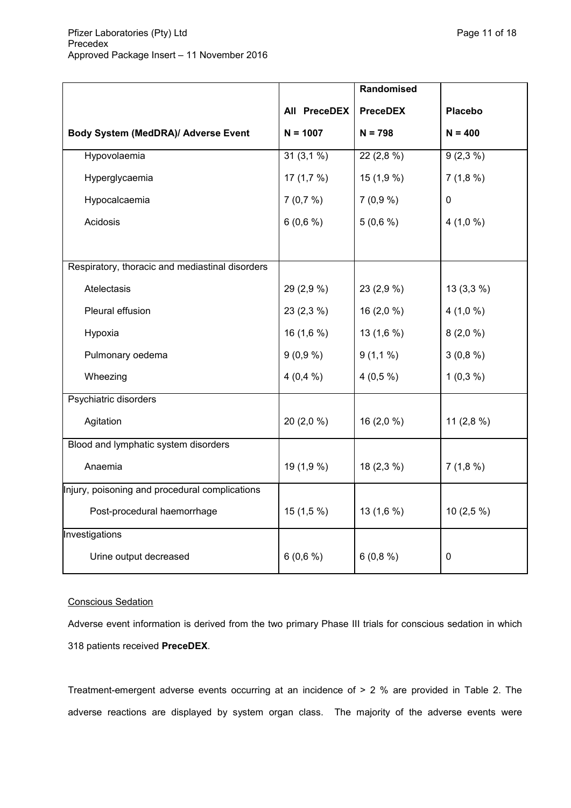|                                                 |              | Randomised      |                |
|-------------------------------------------------|--------------|-----------------|----------------|
|                                                 | All PreceDEX | <b>PreceDEX</b> | <b>Placebo</b> |
| Body System (MedDRA)/ Adverse Event             | $N = 1007$   | $N = 798$       | $N = 400$      |
| Hypovolaemia                                    | 31(3,1%      | 22 (2,8 %)      | $9(2,3\%)$     |
| Hyperglycaemia                                  | 17 $(1,7,9)$ | 15(1,9%)        | 7(1,8%)        |
| Hypocalcaemia                                   | 7(0,7%)      | 7(0,9%)         | 0              |
| Acidosis                                        | 6(0,6%)      | 5(0,6%)         | 4(1,0%         |
|                                                 |              |                 |                |
| Respiratory, thoracic and mediastinal disorders |              |                 |                |
| Atelectasis                                     | 29 (2,9 %)   | 23 (2,9 %)      | $13(3,3\%)$    |
| Pleural effusion                                | 23 (2,3 %)   | 16 $(2,0%$      | 4(1,0%         |
| Hypoxia                                         | 16(1,6%)     | 13(1,6%)        | 8(2,0%         |
| Pulmonary oedema                                | 9(0,9%)      | $9(1,1\%)$      | 3(0,8%)        |
| Wheezing                                        | 4(0,4%       | $4(0,5\%)$      | $1(0,3\%)$     |
| Psychiatric disorders                           |              |                 |                |
| Agitation                                       | $20(2,0\%)$  | $16(2,0\%)$     | 11 $(2,8%)$    |
| Blood and lymphatic system disorders            |              |                 |                |
| Anaemia                                         | 19 (1,9 %)   | $18(2,3\%)$     | 7(1,8%)        |
| Injury, poisoning and procedural complications  |              |                 |                |
| Post-procedural haemorrhage                     | $15(1,5\%)$  | 13 (1,6 %)      | $10(2,5\%)$    |
| Investigations                                  |              |                 |                |
| Urine output decreased                          | 6(0,6%)      | 6(0,8%)         | $\pmb{0}$      |

# Conscious Sedation

Adverse event information is derived from the two primary Phase III trials for conscious sedation in which 318 patients received **PreceDEX**.

Treatment-emergent adverse events occurring at an incidence of > 2 % are provided in Table 2. The adverse reactions are displayed by system organ class. The majority of the adverse events were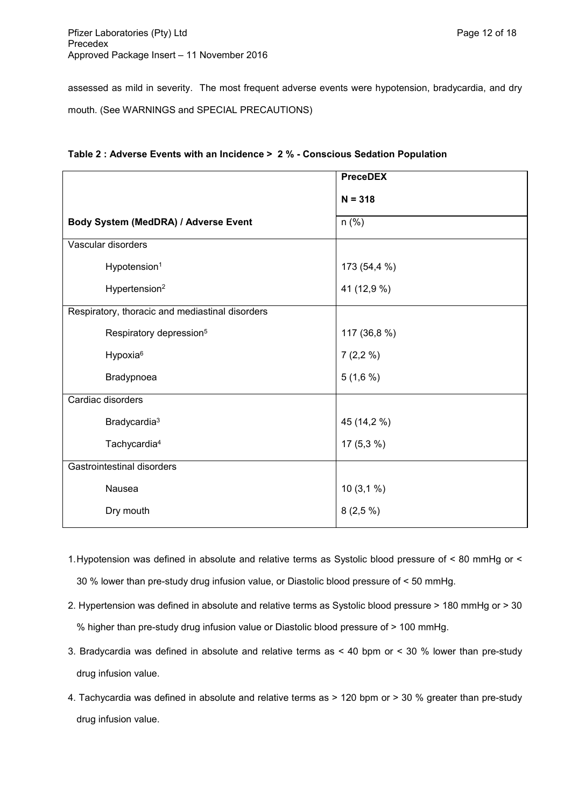assessed as mild in severity. The most frequent adverse events were hypotension, bradycardia, and dry mouth. (See WARNINGS and SPECIAL PRECAUTIONS)

| Table 2 : Adverse Events with an Incidence > 2 % - Conscious Sedation Population |  |
|----------------------------------------------------------------------------------|--|
|----------------------------------------------------------------------------------|--|

|                                                 | <b>PreceDEX</b> |
|-------------------------------------------------|-----------------|
|                                                 | $N = 318$       |
| Body System (MedDRA) / Adverse Event            | $n$ (%)         |
| Vascular disorders                              |                 |
| Hypotension <sup>1</sup>                        | 173 (54,4 %)    |
| Hypertension <sup>2</sup>                       | 41 (12,9 %)     |
| Respiratory, thoracic and mediastinal disorders |                 |
| Respiratory depression <sup>5</sup>             | 117 (36,8 %)    |
| Hypoxia <sup>6</sup>                            | 7(2,2%          |
| Bradypnoea                                      | 5(1,6%)         |
| Cardiac disorders                               |                 |
| Bradycardia <sup>3</sup>                        | 45 (14,2 %)     |
| Tachycardia <sup>4</sup>                        | $17(5,3\%)$     |
| Gastrointestinal disorders                      |                 |
| Nausea                                          | 10(3,1%         |
| Dry mouth                                       | 8(2,5%)         |
|                                                 |                 |

- 1.Hypotension was defined in absolute and relative terms as Systolic blood pressure of < 80 mmHg or < 30 % lower than pre-study drug infusion value, or Diastolic blood pressure of < 50 mmHg.
- 2. Hypertension was defined in absolute and relative terms as Systolic blood pressure > 180 mmHg or > 30 % higher than pre-study drug infusion value or Diastolic blood pressure of > 100 mmHg.
- 3. Bradycardia was defined in absolute and relative terms as < 40 bpm or < 30 % lower than pre-study drug infusion value.
- 4. Tachycardia was defined in absolute and relative terms as > 120 bpm or > 30 % greater than pre-study drug infusion value.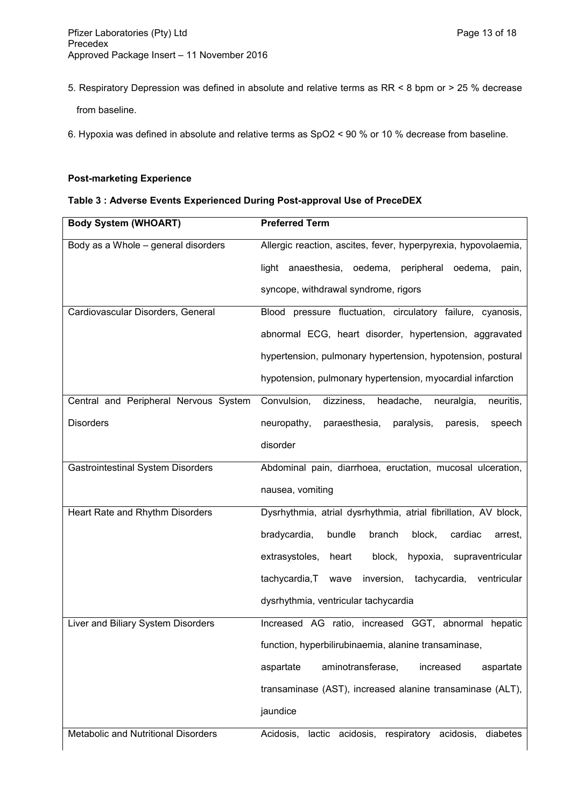5. Respiratory Depression was defined in absolute and relative terms as RR < 8 bpm or > 25 % decrease from baseline.

6. Hypoxia was defined in absolute and relative terms as SpO2 < 90 % or 10 % decrease from baseline.

# **Post-marketing Experience**

# **Table 3 : Adverse Events Experienced During Post-approval Use of PreceDEX**

| <b>Body System (WHOART)</b>              | <b>Preferred Term</b>                                             |
|------------------------------------------|-------------------------------------------------------------------|
| Body as a Whole - general disorders      | Allergic reaction, ascites, fever, hyperpyrexia, hypovolaemia,    |
|                                          | light anaesthesia, oedema, peripheral oedema,<br>pain,            |
|                                          | syncope, withdrawal syndrome, rigors                              |
| Cardiovascular Disorders, General        | Blood pressure fluctuation, circulatory failure, cyanosis,        |
|                                          | abnormal ECG, heart disorder, hypertension, aggravated            |
|                                          | hypertension, pulmonary hypertension, hypotension, postural       |
|                                          | hypotension, pulmonary hypertension, myocardial infarction        |
| Central and Peripheral Nervous System    | Convulsion,<br>dizziness,<br>headache,<br>neuralgia,<br>neuritis, |
| <b>Disorders</b>                         | neuropathy,<br>paraesthesia,<br>paralysis,<br>paresis,<br>speech  |
|                                          | disorder                                                          |
| <b>Gastrointestinal System Disorders</b> | Abdominal pain, diarrhoea, eructation, mucosal ulceration,        |
|                                          | nausea, vomiting                                                  |
| Heart Rate and Rhythm Disorders          | Dysrhythmia, atrial dysrhythmia, atrial fibrillation, AV block,   |
|                                          | bradycardia,<br>bundle<br>branch<br>block,<br>cardiac<br>arrest,  |
|                                          | extrasystoles,<br>supraventricular<br>heart<br>block,<br>hypoxia, |
|                                          | tachycardia, T<br>inversion, tachycardia, ventricular<br>wave     |
|                                          | dysrhythmia, ventricular tachycardia                              |
| Liver and Biliary System Disorders       | Increased AG ratio, increased GGT, abnormal hepatic               |
|                                          | function, hyperbilirubinaemia, alanine transaminase,              |
|                                          | aminotransferase,<br>aspartate<br>increased<br>aspartate          |
|                                          | transaminase (AST), increased alanine transaminase (ALT),         |
|                                          | jaundice                                                          |
| Metabolic and Nutritional Disorders      | Acidosis, lactic acidosis, respiratory acidosis,<br>diabetes      |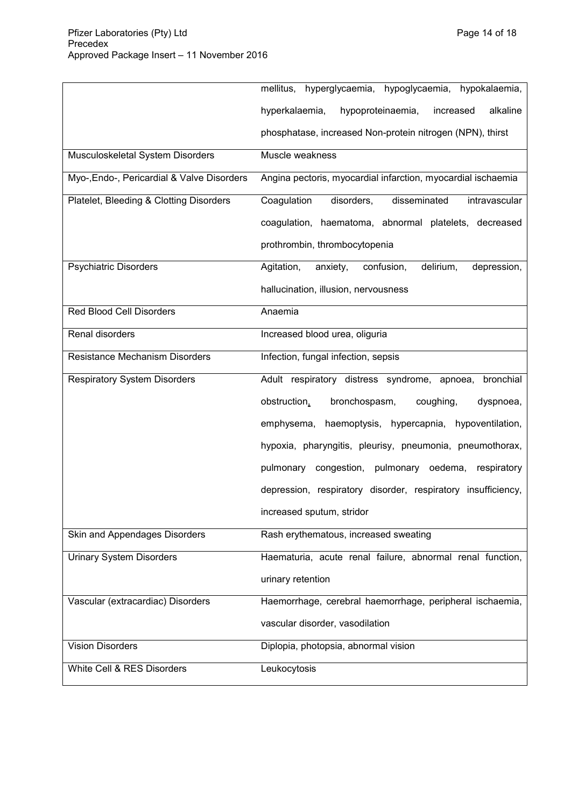|                                            | mellitus, hyperglycaemia, hypoglycaemia, hypokalaemia,           |
|--------------------------------------------|------------------------------------------------------------------|
|                                            | alkaline<br>hypoproteinaemia,<br>increased<br>hyperkalaemia,     |
|                                            | phosphatase, increased Non-protein nitrogen (NPN), thirst        |
| Musculoskeletal System Disorders           | Muscle weakness                                                  |
| Myo-, Endo-, Pericardial & Valve Disorders | Angina pectoris, myocardial infarction, myocardial ischaemia     |
| Platelet, Bleeding & Clotting Disorders    | disseminated<br>Coagulation<br>disorders,<br>intravascular       |
|                                            | coagulation, haematoma, abnormal platelets, decreased            |
|                                            | prothrombin, thrombocytopenia                                    |
| <b>Psychiatric Disorders</b>               | delirium,<br>Agitation,<br>anxiety,<br>confusion,<br>depression, |
|                                            | hallucination, illusion, nervousness                             |
| <b>Red Blood Cell Disorders</b>            | Anaemia                                                          |
| Renal disorders                            | Increased blood urea, oliguria                                   |
| <b>Resistance Mechanism Disorders</b>      | Infection, fungal infection, sepsis                              |
| <b>Respiratory System Disorders</b>        | Adult respiratory distress syndrome, apnoea, bronchial           |
|                                            | obstruction,<br>bronchospasm,<br>coughing,<br>dyspnoea,          |
|                                            | emphysema, haemoptysis, hypercapnia, hypoventilation,            |
|                                            | hypoxia, pharyngitis, pleurisy, pneumonia, pneumothorax,         |
|                                            | pulmonary congestion, pulmonary oedema, respiratory              |
|                                            | depression, respiratory disorder, respiratory insufficiency,     |
|                                            | increased sputum, stridor                                        |
| Skin and Appendages Disorders              | Rash erythematous, increased sweating                            |
| <b>Urinary System Disorders</b>            | Haematuria, acute renal failure, abnormal renal function,        |
|                                            | urinary retention                                                |
| Vascular (extracardiac) Disorders          | Haemorrhage, cerebral haemorrhage, peripheral ischaemia,         |
|                                            | vascular disorder, vasodilation                                  |
| <b>Vision Disorders</b>                    | Diplopia, photopsia, abnormal vision                             |
| White Cell & RES Disorders                 | Leukocytosis                                                     |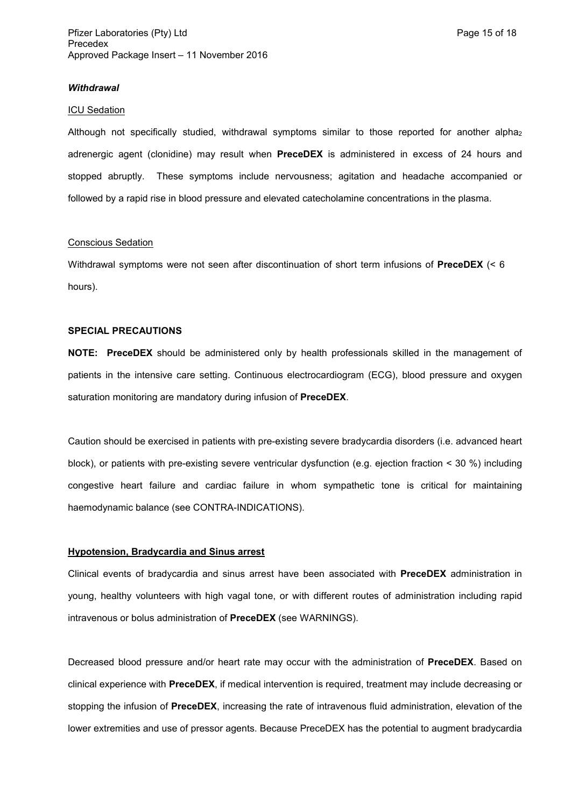#### *Withdrawal*

#### ICU Sedation

Although not specifically studied, withdrawal symptoms similar to those reported for another alpha<sub>2</sub> adrenergic agent (clonidine) may result when **PreceDEX** is administered in excess of 24 hours and stopped abruptly. These symptoms include nervousness; agitation and headache accompanied or followed by a rapid rise in blood pressure and elevated catecholamine concentrations in the plasma.

#### Conscious Sedation

Withdrawal symptoms were not seen after discontinuation of short term infusions of **PreceDEX** (< 6 hours).

#### **SPECIAL PRECAUTIONS**

**NOTE: PreceDEX** should be administered only by health professionals skilled in the management of patients in the intensive care setting. Continuous electrocardiogram (ECG), blood pressure and oxygen saturation monitoring are mandatory during infusion of **PreceDEX**.

Caution should be exercised in patients with pre-existing severe bradycardia disorders (i.e. advanced heart block), or patients with pre-existing severe ventricular dysfunction (e.g. ejection fraction < 30 %) including congestive heart failure and cardiac failure in whom sympathetic tone is critical for maintaining haemodynamic balance (see CONTRA-INDICATIONS).

#### **Hypotension, Bradycardia and Sinus arrest**

Clinical events of bradycardia and sinus arrest have been associated with **PreceDEX** administration in young, healthy volunteers with high vagal tone, or with different routes of administration including rapid intravenous or bolus administration of **PreceDEX** (see WARNINGS).

Decreased blood pressure and/or heart rate may occur with the administration of **PreceDEX**. Based on clinical experience with **PreceDEX**, if medical intervention is required, treatment may include decreasing or stopping the infusion of **PreceDEX**, increasing the rate of intravenous fluid administration, elevation of the lower extremities and use of pressor agents. Because PreceDEX has the potential to augment bradycardia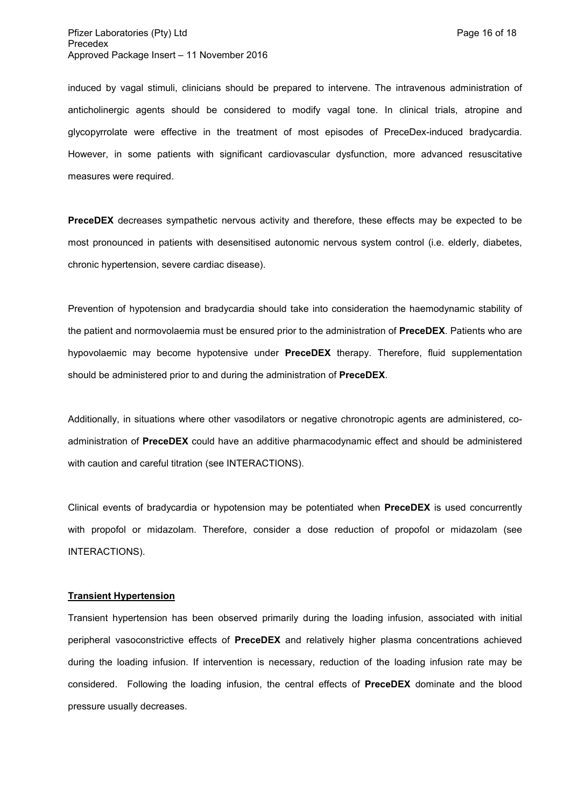induced by vagal stimuli, clinicians should be prepared to intervene. The intravenous administration of anticholinergic agents should be considered to modify vagal tone. In clinical trials, atropine and glycopyrrolate were effective in the treatment of most episodes of PreceDex-induced bradycardia. However, in some patients with significant cardiovascular dysfunction, more advanced resuscitative measures were required.

**PreceDEX** decreases sympathetic nervous activity and therefore, these effects may be expected to be most pronounced in patients with desensitised autonomic nervous system control (i.e. elderly, diabetes, chronic hypertension, severe cardiac disease).

Prevention of hypotension and bradycardia should take into consideration the haemodynamic stability of the patient and normovolaemia must be ensured prior to the administration of **PreceDEX**. Patients who are hypovolaemic may become hypotensive under **PreceDEX** therapy. Therefore, fluid supplementation should be administered prior to and during the administration of **PreceDEX**.

Additionally, in situations where other vasodilators or negative chronotropic agents are administered, coadministration of **PreceDEX** could have an additive pharmacodynamic effect and should be administered with caution and careful titration (see INTERACTIONS).

Clinical events of bradycardia or hypotension may be potentiated when **PreceDEX** is used concurrently with propofol or midazolam. Therefore, consider a dose reduction of propofol or midazolam (see INTERACTIONS).

### **Transient Hypertension**

Transient hypertension has been observed primarily during the loading infusion, associated with initial peripheral vasoconstrictive effects of **PreceDEX** and relatively higher plasma concentrations achieved during the loading infusion. If intervention is necessary, reduction of the loading infusion rate may be considered. Following the loading infusion, the central effects of **PreceDEX** dominate and the blood pressure usually decreases.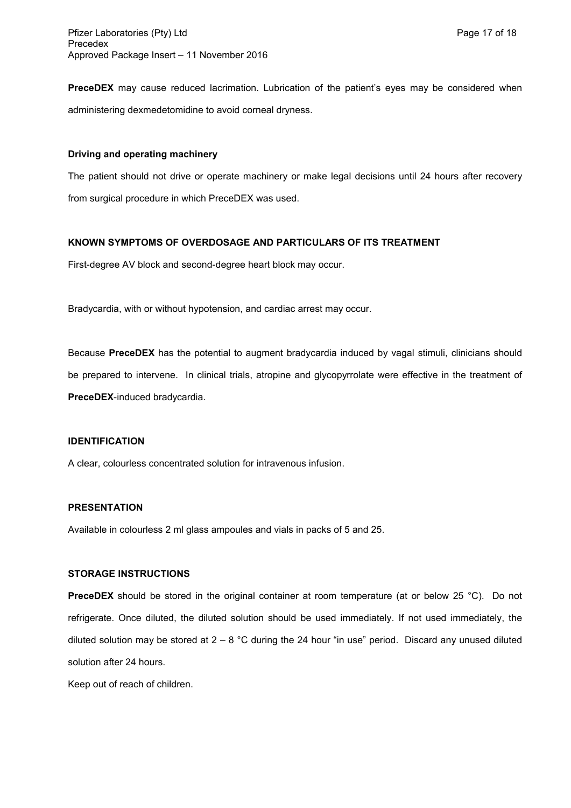**PreceDEX** may cause reduced lacrimation. Lubrication of the patient's eyes may be considered when administering dexmedetomidine to avoid corneal dryness.

#### **Driving and operating machinery**

The patient should not drive or operate machinery or make legal decisions until 24 hours after recovery from surgical procedure in which PreceDEX was used.

### **KNOWN SYMPTOMS OF OVERDOSAGE AND PARTICULARS OF ITS TREATMENT**

First-degree AV block and second-degree heart block may occur.

Bradycardia, with or without hypotension, and cardiac arrest may occur.

Because **PreceDEX** has the potential to augment bradycardia induced by vagal stimuli, clinicians should be prepared to intervene. In clinical trials, atropine and glycopyrrolate were effective in the treatment of **PreceDEX**-induced bradycardia.

### **IDENTIFICATION**

A clear, colourless concentrated solution for intravenous infusion.

#### **PRESENTATION**

Available in colourless 2 ml glass ampoules and vials in packs of 5 and 25.

### **STORAGE INSTRUCTIONS**

**PreceDEX** should be stored in the original container at room temperature (at or below 25 °C). Do not refrigerate. Once diluted, the diluted solution should be used immediately. If not used immediately, the diluted solution may be stored at  $2 - 8$  °C during the 24 hour "in use" period. Discard any unused diluted solution after 24 hours.

Keep out of reach of children.